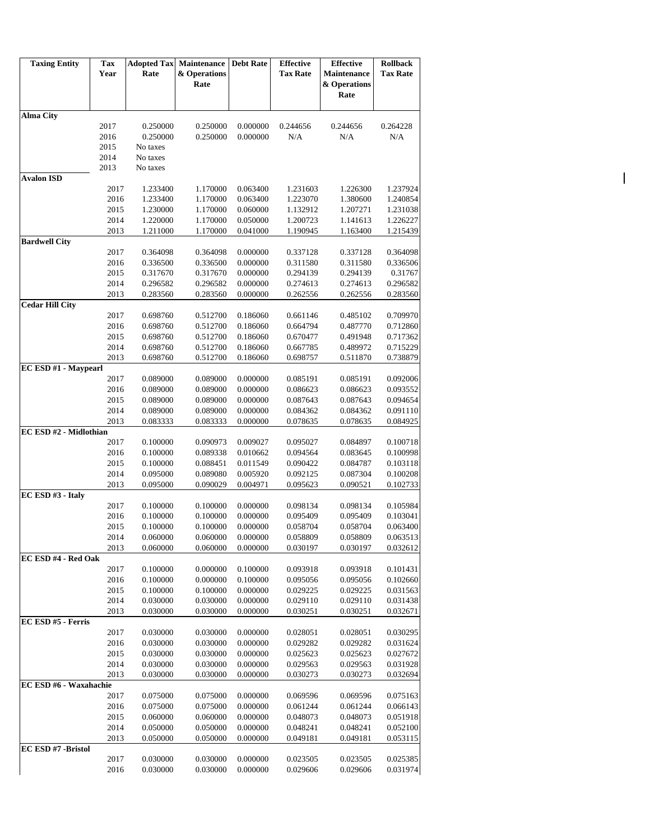| <b>Taxing Entity</b>   | Tax          | <b>Adopted Tax</b>   | Maintenance          | <b>Debt Rate</b>     | <b>Effective</b>     | <b>Effective</b>     | <b>Rollback</b>      |
|------------------------|--------------|----------------------|----------------------|----------------------|----------------------|----------------------|----------------------|
|                        | Year         | Rate                 | & Operations<br>Rate |                      | <b>Tax Rate</b>      | Maintenance          | <b>Tax Rate</b>      |
|                        |              |                      |                      |                      |                      | & Operations<br>Rate |                      |
|                        |              |                      |                      |                      |                      |                      |                      |
| <b>Alma City</b>       |              |                      |                      |                      |                      |                      |                      |
|                        | 2017         | 0.250000             | 0.250000             | 0.000000             | 0.244656             | 0.244656             | 0.264228             |
|                        | 2016         | 0.250000             | 0.250000             | 0.000000             | N/A                  | N/A                  | $\rm N/A$            |
|                        | 2015         | No taxes             |                      |                      |                      |                      |                      |
|                        | 2014<br>2013 | No taxes<br>No taxes |                      |                      |                      |                      |                      |
| <b>Avalon ISD</b>      |              |                      |                      |                      |                      |                      |                      |
|                        | 2017         | 1.233400             | 1.170000             | 0.063400             | 1.231603             | 1.226300             | 1.237924             |
|                        | 2016         | 1.233400             | 1.170000             | 0.063400             | 1.223070             | 1.380600             | 1.240854             |
|                        | 2015         | 1.230000             | 1.170000             | 0.060000             | 1.132912             | 1.207271             | 1.231038             |
|                        | 2014         | 1.220000             | 1.170000             | 0.050000             | 1.200723             | 1.141613             | 1.226227             |
|                        | 2013         | 1.211000             | 1.170000             | 0.041000             | 1.190945             | 1.163400             | 1.215439             |
| <b>Bardwell City</b>   |              |                      |                      |                      |                      |                      |                      |
|                        | 2017         | 0.364098             | 0.364098             | 0.000000             | 0.337128             | 0.337128             | 0.364098             |
|                        | 2016         | 0.336500             | 0.336500             | 0.000000             | 0.311580             | 0.311580             | 0.336506             |
|                        | 2015         | 0.317670             | 0.317670             | 0.000000             | 0.294139             | 0.294139             | 0.31767              |
|                        | 2014<br>2013 | 0.296582<br>0.283560 | 0.296582<br>0.283560 | 0.000000<br>0.000000 | 0.274613<br>0.262556 | 0.274613<br>0.262556 | 0.296582<br>0.283560 |
| <b>Cedar Hill City</b> |              |                      |                      |                      |                      |                      |                      |
|                        | 2017         | 0.698760             | 0.512700             | 0.186060             | 0.661146             | 0.485102             | 0.709970             |
|                        | 2016         | 0.698760             | 0.512700             | 0.186060             | 0.664794             | 0.487770             | 0.712860             |
|                        | 2015         | 0.698760             | 0.512700             | 0.186060             | 0.670477             | 0.491948             | 0.717362             |
|                        | 2014         | 0.698760             | 0.512700             | 0.186060             | 0.667785             | 0.489972             | 0.715229             |
|                        | 2013         | 0.698760             | 0.512700             | 0.186060             | 0.698757             | 0.511870             | 0.738879             |
| EC ESD #1 - Maypearl   |              |                      |                      |                      |                      |                      |                      |
|                        | 2017         | 0.089000             | 0.089000             | 0.000000             | 0.085191             | 0.085191             | 0.092006             |
|                        | 2016         | 0.089000             | 0.089000             | 0.000000             | 0.086623             | 0.086623             | 0.093552             |
|                        | 2015         | 0.089000             | 0.089000             | 0.000000             | 0.087643             | 0.087643             | 0.094654             |
|                        | 2014         | 0.089000             | 0.089000             | 0.000000             | 0.084362             | 0.084362             | 0.091110             |
|                        | 2013         | 0.083333             | 0.083333             | 0.000000             | 0.078635             | 0.078635             | 0.084925             |
| EC ESD #2 - Midlothian | 2017         | 0.100000             | 0.090973             | 0.009027             |                      | 0.084897             | 0.100718             |
|                        | 2016         | 0.100000             | 0.089338             | 0.010662             | 0.095027<br>0.094564 | 0.083645             | 0.100998             |
|                        | 2015         | 0.100000             | 0.088451             | 0.011549             | 0.090422             | 0.084787             | 0.103118             |
|                        | 2014         | 0.095000             | 0.089080             | 0.005920             | 0.092125             | 0.087304             | 0.100208             |
|                        | 2013         | 0.095000             | 0.090029             | 0.004971             | 0.095623             | 0.090521             | 0.102733             |
| EC ESD #3 - Italy      |              |                      |                      |                      |                      |                      |                      |
|                        | 2017         | 0.100000             | 0.100000             | 0.000000             | 0.098134             | 0.098134             | 0.105984             |
|                        | 2016         | 0.100000             | 0.100000             | 0.000000             | 0.095409             | 0.095409             | 0.103041             |
|                        | 2015         | 0.100000             | 0.100000             | 0.000000             | 0.058704             | 0.058704             | 0.063400             |
|                        | 2014         | 0.060000             | 0.060000             | 0.000000             | 0.058809             | 0.058809             | 0.063513             |
|                        | 2013         | 0.060000             | 0.060000             | 0.000000             | 0.030197             | 0.030197             | 0.032612             |
| EC ESD #4 - Red Oak    |              |                      |                      |                      |                      |                      |                      |
|                        | 2017         | 0.100000             | 0.000000             | 0.100000             | 0.093918             | 0.093918             | 0.101431             |
|                        | 2016<br>2015 | 0.100000<br>0.100000 | 0.000000<br>0.100000 | 0.100000<br>0.000000 | 0.095056             | 0.095056<br>0.029225 | 0.102660<br>0.031563 |
|                        | 2014         | 0.030000             | 0.030000             | 0.000000             | 0.029225<br>0.029110 | 0.029110             | 0.031438             |
|                        | 2013         | 0.030000             | 0.030000             | 0.000000             | 0.030251             | 0.030251             | 0.032671             |
| EC ESD #5 - Ferris     |              |                      |                      |                      |                      |                      |                      |
|                        | 2017         | 0.030000             | 0.030000             | 0.000000             | 0.028051             | 0.028051             | 0.030295             |
|                        | 2016         | 0.030000             | 0.030000             | 0.000000             | 0.029282             | 0.029282             | 0.031624             |
|                        | 2015         | 0.030000             | 0.030000             | 0.000000             | 0.025623             | 0.025623             | 0.027672             |
|                        | 2014         | 0.030000             | 0.030000             | 0.000000             | 0.029563             | 0.029563             | 0.031928             |
|                        | 2013         | 0.030000             | 0.030000             | 0.000000             | 0.030273             | 0.030273             | 0.032694             |
| EC ESD #6 - Waxahachie |              |                      |                      |                      |                      |                      |                      |
|                        | 2017         | 0.075000             | 0.075000             | 0.000000             | 0.069596             | 0.069596             | 0.075163             |
|                        | 2016         | 0.075000             | 0.075000             | 0.000000             | 0.061244             | 0.061244             | 0.066143             |
|                        | 2015         | 0.060000             | 0.060000             | 0.000000             | 0.048073             | 0.048073             | 0.051918             |
|                        | 2014         | 0.050000             | 0.050000             | 0.000000             | 0.048241             | 0.048241             | 0.052100             |
|                        | 2013         | 0.050000             | 0.050000             | 0.000000             | 0.049181             | 0.049181             | 0.053115             |
| EC ESD #7 - Bristol    | 2017         | 0.030000             | 0.030000             | 0.000000             | 0.023505             | 0.023505             | 0.025385             |
|                        | 2016         | 0.030000             | 0.030000             | 0.000000             | 0.029606             | 0.029606             | 0.031974             |
|                        |              |                      |                      |                      |                      |                      |                      |

 $\mathsf{I}$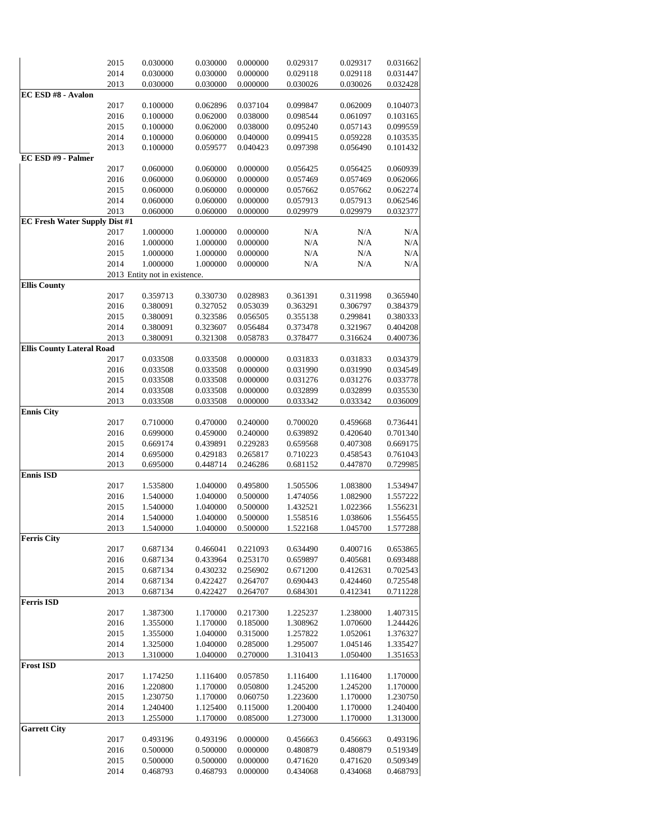|                                  | 2015 | 0.030000                      | 0.030000 | 0.000000 | 0.029317 | 0.029317 | 0.031662 |
|----------------------------------|------|-------------------------------|----------|----------|----------|----------|----------|
|                                  |      |                               |          |          |          |          |          |
|                                  | 2014 | 0.030000                      | 0.030000 | 0.000000 | 0.029118 | 0.029118 | 0.031447 |
|                                  | 2013 | 0.030000                      | 0.030000 | 0.000000 | 0.030026 | 0.030026 | 0.032428 |
| EC ESD #8 - Avalon               |      |                               |          |          |          |          |          |
|                                  | 2017 | 0.100000                      | 0.062896 | 0.037104 | 0.099847 | 0.062009 | 0.104073 |
|                                  |      | 0.100000                      |          | 0.038000 | 0.098544 |          |          |
|                                  | 2016 |                               | 0.062000 |          |          | 0.061097 | 0.103165 |
|                                  | 2015 | 0.100000                      | 0.062000 | 0.038000 | 0.095240 | 0.057143 | 0.099559 |
|                                  | 2014 | 0.100000                      | 0.060000 | 0.040000 | 0.099415 | 0.059228 | 0.103535 |
|                                  | 2013 | 0.100000                      | 0.059577 | 0.040423 | 0.097398 | 0.056490 | 0.101432 |
| EC ESD #9 - Palmer               |      |                               |          |          |          |          |          |
|                                  |      |                               |          |          |          |          |          |
|                                  | 2017 | 0.060000                      | 0.060000 | 0.000000 | 0.056425 | 0.056425 | 0.060939 |
|                                  | 2016 | 0.060000                      | 0.060000 | 0.000000 | 0.057469 | 0.057469 | 0.062066 |
|                                  | 2015 | 0.060000                      | 0.060000 | 0.000000 | 0.057662 | 0.057662 | 0.062274 |
|                                  | 2014 | 0.060000                      | 0.060000 | 0.000000 | 0.057913 | 0.057913 | 0.062546 |
|                                  | 2013 |                               | 0.060000 |          | 0.029979 | 0.029979 | 0.032377 |
|                                  |      | 0.060000                      |          | 0.000000 |          |          |          |
| EC Fresh Water Supply Dist #1    |      |                               |          |          |          |          |          |
|                                  | 2017 | 1.000000                      | 1.000000 | 0.000000 | N/A      | N/A      | N/A      |
|                                  | 2016 | 1.000000                      | 1.000000 | 0.000000 | N/A      | N/A      | N/A      |
|                                  | 2015 | 1.000000                      | 1.000000 | 0.000000 | N/A      | N/A      | N/A      |
|                                  |      |                               |          |          |          |          |          |
|                                  | 2014 | 1.000000                      | 1.000000 | 0.000000 | N/A      | N/A      | N/A      |
|                                  |      | 2013 Entity not in existence. |          |          |          |          |          |
| <b>Ellis County</b>              |      |                               |          |          |          |          |          |
|                                  | 2017 | 0.359713                      | 0.330730 | 0.028983 | 0.361391 | 0.311998 | 0.365940 |
|                                  | 2016 | 0.380091                      | 0.327052 | 0.053039 | 0.363291 | 0.306797 | 0.384379 |
|                                  |      |                               |          |          |          |          |          |
|                                  | 2015 | 0.380091                      | 0.323586 | 0.056505 | 0.355138 | 0.299841 | 0.380333 |
|                                  | 2014 | 0.380091                      | 0.323607 | 0.056484 | 0.373478 | 0.321967 | 0.404208 |
|                                  | 2013 | 0.380091                      | 0.321308 | 0.058783 | 0.378477 | 0.316624 | 0.400736 |
| <b>Ellis County Lateral Road</b> |      |                               |          |          |          |          |          |
|                                  | 2017 | 0.033508                      | 0.033508 | 0.000000 | 0.031833 | 0.031833 | 0.034379 |
|                                  |      |                               |          |          |          |          |          |
|                                  | 2016 | 0.033508                      | 0.033508 | 0.000000 | 0.031990 | 0.031990 | 0.034549 |
|                                  | 2015 | 0.033508                      | 0.033508 | 0.000000 | 0.031276 | 0.031276 | 0.033778 |
|                                  | 2014 | 0.033508                      | 0.033508 | 0.000000 | 0.032899 | 0.032899 | 0.035530 |
|                                  | 2013 | 0.033508                      | 0.033508 | 0.000000 | 0.033342 | 0.033342 | 0.036009 |
| <b>Ennis City</b>                |      |                               |          |          |          |          |          |
|                                  |      |                               |          |          |          |          |          |
|                                  | 2017 | 0.710000                      | 0.470000 | 0.240000 | 0.700020 | 0.459668 | 0.736441 |
|                                  | 2016 | 0.699000                      | 0.459000 | 0.240000 | 0.639892 | 0.420640 | 0.701340 |
|                                  | 2015 | 0.669174                      | 0.439891 | 0.229283 | 0.659568 | 0.407308 | 0.669175 |
|                                  | 2014 | 0.695000                      | 0.429183 | 0.265817 | 0.710223 | 0.458543 | 0.761043 |
|                                  |      |                               |          |          |          |          |          |
|                                  | 2013 | 0.695000                      | 0.448714 | 0.246286 | 0.681152 | 0.447870 | 0.729985 |
| <b>Ennis ISD</b>                 |      |                               |          |          |          |          |          |
|                                  | 2017 | 1.535800                      | 1.040000 | 0.495800 | 1.505506 | 1.083800 | 1.534947 |
|                                  | 2016 | 1.540000                      | 1.040000 | 0.500000 | 1.474056 | 1.082900 | 1.557222 |
|                                  | 2015 | 1.540000                      | 1.040000 | 0.500000 | 1.432521 | 1.022366 | 1.556231 |
|                                  | 2014 |                               |          |          |          |          |          |
|                                  |      | 1.540000                      | 1.040000 | 0.500000 | 1.558516 | 1.038606 | 1.556455 |
|                                  | 2013 | 1.540000                      | 1.040000 | 0.500000 | 1.522168 | 1.045700 | 1.577288 |
| <b>Ferris City</b>               |      |                               |          |          |          |          |          |
|                                  | 2017 | 0.687134                      | 0.466041 | 0.221093 | 0.634490 | 0.400716 | 0.653865 |
|                                  | 2016 | 0.687134                      | 0.433964 | 0.253170 | 0.659897 | 0.405681 | 0.693488 |
|                                  |      |                               |          | 0.256902 |          |          |          |
|                                  | 2015 | 0.687134                      | 0.430232 |          | 0.671200 | 0.412631 | 0.702543 |
|                                  | 2014 | 0.687134                      | 0.422427 | 0.264707 | 0.690443 | 0.424460 | 0.725548 |
|                                  | 2013 | 0.687134                      | 0.422427 | 0.264707 | 0.684301 | 0.412341 | 0.711228 |
| Ferris ISD                       |      |                               |          |          |          |          |          |
|                                  | 2017 | 1.387300                      | 1.170000 | 0.217300 | 1.225237 | 1.238000 | 1.407315 |
|                                  |      | 1.355000                      |          |          |          |          |          |
|                                  | 2016 |                               | 1.170000 | 0.185000 | 1.308962 | 1.070600 | 1.244426 |
|                                  | 2015 | 1.355000                      | 1.040000 | 0.315000 | 1.257822 | 1.052061 | 1.376327 |
|                                  | 2014 | 1.325000                      | 1.040000 | 0.285000 | 1.295007 | 1.045146 | 1.335427 |
|                                  | 2013 | 1.310000                      | 1.040000 | 0.270000 | 1.310413 | 1.050400 | 1.351653 |
| <b>Frost ISD</b>                 |      |                               |          |          |          |          |          |
|                                  |      |                               |          |          |          |          |          |
|                                  | 2017 | 1.174250                      | 1.116400 | 0.057850 | 1.116400 | 1.116400 | 1.170000 |
|                                  | 2016 | 1.220800                      | 1.170000 | 0.050800 | 1.245200 | 1.245200 | 1.170000 |
|                                  | 2015 | 1.230750                      | 1.170000 | 0.060750 | 1.223600 | 1.170000 | 1.230750 |
|                                  | 2014 | 1.240400                      | 1.125400 | 0.115000 | 1.200400 | 1.170000 | 1.240400 |
|                                  |      |                               |          |          |          |          |          |
|                                  | 2013 | 1.255000                      | 1.170000 | 0.085000 | 1.273000 | 1.170000 | 1.313000 |
| <b>Garrett City</b>              |      |                               |          |          |          |          |          |
|                                  | 2017 | 0.493196                      | 0.493196 | 0.000000 | 0.456663 | 0.456663 | 0.493196 |
|                                  | 2016 | 0.500000                      | 0.500000 | 0.000000 | 0.480879 | 0.480879 | 0.519349 |
|                                  | 2015 | 0.500000                      | 0.500000 | 0.000000 | 0.471620 | 0.471620 | 0.509349 |
|                                  |      |                               |          |          |          |          |          |
|                                  | 2014 | 0.468793                      | 0.468793 | 0.000000 | 0.434068 | 0.434068 | 0.468793 |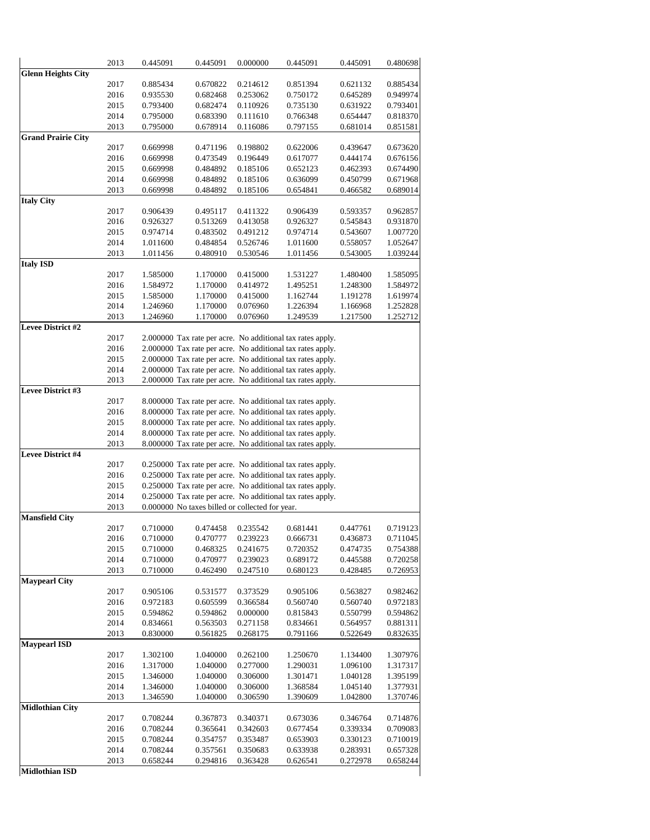|                           | 2013 | 0.445091 | 0.445091                                        | 0.000000 | 0.445091                                                   | 0.445091 | 0.480698 |
|---------------------------|------|----------|-------------------------------------------------|----------|------------------------------------------------------------|----------|----------|
| <b>Glenn Heights City</b> |      |          |                                                 |          |                                                            |          |          |
|                           | 2017 | 0.885434 | 0.670822                                        | 0.214612 | 0.851394                                                   | 0.621132 | 0.885434 |
|                           | 2016 | 0.935530 | 0.682468                                        | 0.253062 | 0.750172                                                   | 0.645289 | 0.949974 |
|                           | 2015 | 0.793400 | 0.682474                                        | 0.110926 | 0.735130                                                   | 0.631922 | 0.793401 |
|                           | 2014 | 0.795000 | 0.683390                                        | 0.111610 | 0.766348                                                   | 0.654447 | 0.818370 |
|                           | 2013 | 0.795000 | 0.678914                                        | 0.116086 | 0.797155                                                   | 0.681014 | 0.851581 |
| <b>Grand Prairie City</b> |      |          |                                                 |          |                                                            |          |          |
|                           | 2017 | 0.669998 | 0.471196                                        | 0.198802 | 0.622006                                                   | 0.439647 | 0.673620 |
|                           | 2016 | 0.669998 | 0.473549                                        | 0.196449 | 0.617077                                                   | 0.444174 | 0.676156 |
|                           | 2015 | 0.669998 | 0.484892                                        | 0.185106 | 0.652123                                                   | 0.462393 | 0.674490 |
|                           | 2014 | 0.669998 | 0.484892                                        | 0.185106 | 0.636099                                                   | 0.450799 | 0.671968 |
| <b>Italy City</b>         | 2013 | 0.669998 | 0.484892                                        | 0.185106 | 0.654841                                                   | 0.466582 | 0.689014 |
|                           | 2017 | 0.906439 | 0.495117                                        | 0.411322 | 0.906439                                                   | 0.593357 | 0.962857 |
|                           | 2016 | 0.926327 | 0.513269                                        | 0.413058 | 0.926327                                                   | 0.545843 | 0.931870 |
|                           | 2015 | 0.974714 | 0.483502                                        | 0.491212 | 0.974714                                                   | 0.543607 | 1.007720 |
|                           | 2014 | 1.011600 | 0.484854                                        | 0.526746 | 1.011600                                                   | 0.558057 | 1.052647 |
|                           | 2013 | 1.011456 | 0.480910                                        | 0.530546 | 1.011456                                                   | 0.543005 | 1.039244 |
| <b>Italy ISD</b>          |      |          |                                                 |          |                                                            |          |          |
|                           | 2017 | 1.585000 | 1.170000                                        | 0.415000 | 1.531227                                                   | 1.480400 | 1.585095 |
|                           | 2016 | 1.584972 | 1.170000                                        | 0.414972 | 1.495251                                                   | 1.248300 | 1.584972 |
|                           | 2015 | 1.585000 | 1.170000                                        | 0.415000 | 1.162744                                                   | 1.191278 | 1.619974 |
|                           | 2014 | 1.246960 | 1.170000                                        | 0.076960 | 1.226394                                                   | 1.166968 | 1.252828 |
|                           | 2013 | 1.246960 | 1.170000                                        | 0.076960 | 1.249539                                                   | 1.217500 | 1.252712 |
| <b>Levee District #2</b>  |      |          |                                                 |          |                                                            |          |          |
|                           | 2017 |          |                                                 |          | 2.000000 Tax rate per acre. No additional tax rates apply. |          |          |
|                           | 2016 |          |                                                 |          | 2.000000 Tax rate per acre. No additional tax rates apply. |          |          |
|                           | 2015 |          |                                                 |          | 2.000000 Tax rate per acre. No additional tax rates apply. |          |          |
|                           | 2014 |          |                                                 |          | 2.000000 Tax rate per acre. No additional tax rates apply. |          |          |
|                           | 2013 |          |                                                 |          | 2.000000 Tax rate per acre. No additional tax rates apply. |          |          |
| Levee District #3         |      |          |                                                 |          |                                                            |          |          |
|                           | 2017 |          |                                                 |          | 8.000000 Tax rate per acre. No additional tax rates apply. |          |          |
|                           | 2016 |          |                                                 |          | 8.000000 Tax rate per acre. No additional tax rates apply. |          |          |
|                           | 2015 |          |                                                 |          | 8.000000 Tax rate per acre. No additional tax rates apply. |          |          |
|                           | 2014 |          |                                                 |          | 8.000000 Tax rate per acre. No additional tax rates apply. |          |          |
|                           | 2013 |          |                                                 |          | 8.000000 Tax rate per acre. No additional tax rates apply. |          |          |
| <b>Levee District #4</b>  |      |          |                                                 |          |                                                            |          |          |
|                           | 2017 |          |                                                 |          | 0.250000 Tax rate per acre. No additional tax rates apply. |          |          |
|                           | 2016 |          |                                                 |          | 0.250000 Tax rate per acre. No additional tax rates apply. |          |          |
|                           | 2015 |          |                                                 |          | 0.250000 Tax rate per acre. No additional tax rates apply. |          |          |
|                           | 2014 |          |                                                 |          | 0.250000 Tax rate per acre. No additional tax rates apply. |          |          |
| <b>Mansfield City</b>     | 2013 |          | 0.000000 No taxes billed or collected for year. |          |                                                            |          |          |
|                           | 2017 | 0.710000 | 0.474458                                        | 0.235542 | 0.681441                                                   | 0.447761 | 0.719123 |
|                           | 2016 | 0.710000 | 0.470777                                        | 0.239223 | 0.666731                                                   | 0.436873 | 0.711045 |
|                           | 2015 | 0.710000 | 0.468325                                        | 0.241675 | 0.720352                                                   | 0.474735 | 0.754388 |
|                           | 2014 | 0.710000 | 0.470977                                        | 0.239023 | 0.689172                                                   | 0.445588 | 0.720258 |
|                           | 2013 | 0.710000 | 0.462490                                        | 0.247510 | 0.680123                                                   | 0.428485 | 0.726953 |
| <b>Maypearl City</b>      |      |          |                                                 |          |                                                            |          |          |
|                           | 2017 | 0.905106 | 0.531577                                        | 0.373529 | 0.905106                                                   | 0.563827 | 0.982462 |
|                           | 2016 | 0.972183 | 0.605599                                        | 0.366584 | 0.560740                                                   | 0.560740 | 0.972183 |
|                           | 2015 | 0.594862 | 0.594862                                        | 0.000000 | 0.815843                                                   | 0.550799 | 0.594862 |
|                           | 2014 | 0.834661 | 0.563503                                        | 0.271158 | 0.834661                                                   | 0.564957 | 0.881311 |
|                           | 2013 | 0.830000 | 0.561825                                        | 0.268175 | 0.791166                                                   | 0.522649 | 0.832635 |
| Maypearl ISD              |      |          |                                                 |          |                                                            |          |          |
|                           | 2017 | 1.302100 | 1.040000                                        | 0.262100 | 1.250670                                                   | 1.134400 | 1.307976 |
|                           | 2016 | 1.317000 | 1.040000                                        | 0.277000 | 1.290031                                                   | 1.096100 | 1.317317 |
|                           | 2015 | 1.346000 | 1.040000                                        | 0.306000 | 1.301471                                                   | 1.040128 | 1.395199 |
|                           | 2014 | 1.346000 | 1.040000                                        | 0.306000 | 1.368584                                                   | 1.045140 | 1.377931 |
|                           | 2013 | 1.346590 | 1.040000                                        | 0.306590 | 1.390609                                                   | 1.042800 | 1.370746 |
| <b>Midlothian City</b>    |      |          |                                                 |          |                                                            |          |          |
|                           | 2017 | 0.708244 | 0.367873                                        | 0.340371 | 0.673036                                                   | 0.346764 | 0.714876 |
|                           | 2016 | 0.708244 | 0.365641                                        | 0.342603 | 0.677454                                                   | 0.339334 | 0.709083 |
|                           | 2015 | 0.708244 | 0.354757                                        | 0.353487 | 0.653903                                                   | 0.330123 | 0.710019 |
|                           | 2014 | 0.708244 | 0.357561                                        | 0.350683 | 0.633938                                                   | 0.283931 | 0.657328 |
|                           | 2013 | 0.658244 | 0.294816                                        | 0.363428 | 0.626541                                                   | 0.272978 | 0.658244 |
| Midlothian ISD            |      |          |                                                 |          |                                                            |          |          |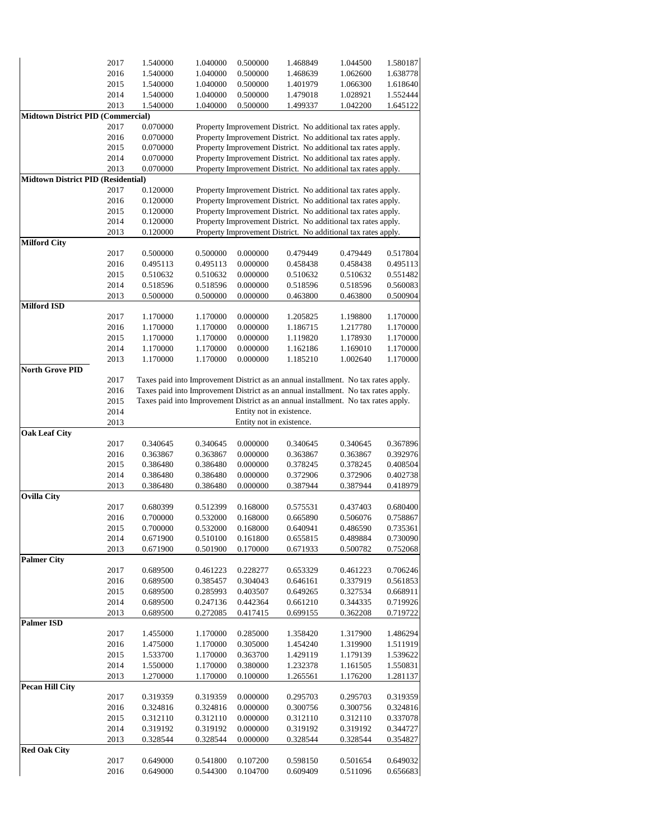|                                           | 2017         | 1.540000             | 1.040000                                             | 0.500000             | 1.468849                                                                           | 1.044500             | 1.580187             |  |  |
|-------------------------------------------|--------------|----------------------|------------------------------------------------------|----------------------|------------------------------------------------------------------------------------|----------------------|----------------------|--|--|
|                                           | 2016         | 1.540000             | 1.040000                                             | 0.500000             | 1.468639                                                                           | 1.062600             | 1.638778             |  |  |
|                                           | 2015         | 1.540000             | 1.040000                                             | 0.500000             | 1.401979                                                                           | 1.066300             | 1.618640             |  |  |
|                                           | 2014         | 1.540000             | 1.040000                                             | 0.500000             | 1.479018                                                                           | 1.028921             | 1.552444             |  |  |
|                                           | 2013         | 1.540000             | 1.040000                                             | 0.500000             | 1.499337                                                                           | 1.042200             | 1.645122             |  |  |
| <b>Midtown District PID (Commercial)</b>  |              |                      |                                                      |                      |                                                                                    |                      |                      |  |  |
|                                           | 2017         | 0.070000             |                                                      |                      | Property Improvement District. No additional tax rates apply.                      |                      |                      |  |  |
|                                           | 2016         | 0.070000             |                                                      |                      | Property Improvement District. No additional tax rates apply.                      |                      |                      |  |  |
|                                           | 2015         | 0.070000             |                                                      |                      | Property Improvement District. No additional tax rates apply.                      |                      |                      |  |  |
|                                           | 2014         | 0.070000             |                                                      |                      | Property Improvement District. No additional tax rates apply.                      |                      |                      |  |  |
|                                           | 2013         | 0.070000             |                                                      |                      | Property Improvement District. No additional tax rates apply.                      |                      |                      |  |  |
| <b>Midtown District PID (Residential)</b> |              |                      |                                                      |                      |                                                                                    |                      |                      |  |  |
|                                           |              |                      |                                                      |                      |                                                                                    |                      |                      |  |  |
|                                           | 2017         | 0.120000             |                                                      |                      | Property Improvement District. No additional tax rates apply.                      |                      |                      |  |  |
|                                           | 2016         | 0.120000             |                                                      |                      | Property Improvement District. No additional tax rates apply.                      |                      |                      |  |  |
|                                           | 2015         | 0.120000             |                                                      |                      | Property Improvement District. No additional tax rates apply.                      |                      |                      |  |  |
|                                           | 2014         | 0.120000             |                                                      |                      | Property Improvement District. No additional tax rates apply.                      |                      |                      |  |  |
|                                           | 2013         | 0.120000             |                                                      |                      | Property Improvement District. No additional tax rates apply.                      |                      |                      |  |  |
| <b>Milford City</b>                       |              |                      |                                                      |                      |                                                                                    |                      |                      |  |  |
|                                           | 2017         | 0.500000             | 0.500000                                             | 0.000000             | 0.479449                                                                           | 0.479449             | 0.517804             |  |  |
|                                           | 2016         | 0.495113             | 0.495113                                             | 0.000000             | 0.458438                                                                           | 0.458438             | 0.495113             |  |  |
|                                           | 2015         | 0.510632             | 0.510632                                             | 0.000000             | 0.510632                                                                           | 0.510632             | 0.551482             |  |  |
|                                           | 2014         | 0.518596             | 0.518596                                             | 0.000000             | 0.518596                                                                           | 0.518596             | 0.560083             |  |  |
|                                           | 2013         | 0.500000             | 0.500000                                             | 0.000000             | 0.463800                                                                           | 0.463800             | 0.500904             |  |  |
| <b>Milford ISD</b>                        |              |                      |                                                      |                      |                                                                                    |                      |                      |  |  |
|                                           | 2017         | 1.170000             | 1.170000                                             | 0.000000             | 1.205825                                                                           | 1.198800             | 1.170000             |  |  |
|                                           | 2016         | 1.170000             | 1.170000                                             | 0.000000             | 1.186715                                                                           | 1.217780             | 1.170000             |  |  |
|                                           | 2015         | 1.170000             | 1.170000                                             | 0.000000             | 1.119820                                                                           | 1.178930             | 1.170000             |  |  |
|                                           | 2014         | 1.170000             | 1.170000                                             | 0.000000             | 1.162186                                                                           | 1.169010             | 1.170000             |  |  |
|                                           | 2013         | 1.170000             | 1.170000                                             | 0.000000             | 1.185210                                                                           | 1.002640             | 1.170000             |  |  |
| <b>North Grove PID</b>                    |              |                      |                                                      |                      |                                                                                    |                      |                      |  |  |
|                                           | 2017         |                      |                                                      |                      | Taxes paid into Improvement District as an annual installment. No tax rates apply. |                      |                      |  |  |
|                                           | 2016         |                      |                                                      |                      | Taxes paid into Improvement District as an annual installment. No tax rates apply. |                      |                      |  |  |
|                                           | 2015         |                      |                                                      |                      | Taxes paid into Improvement District as an annual installment. No tax rates apply. |                      |                      |  |  |
|                                           | 2014         |                      |                                                      |                      |                                                                                    |                      |                      |  |  |
|                                           |              |                      | Entity not in existence.<br>Entity not in existence. |                      |                                                                                    |                      |                      |  |  |
|                                           | 2013         |                      |                                                      |                      |                                                                                    |                      |                      |  |  |
| <b>Oak Leaf City</b>                      |              |                      |                                                      |                      |                                                                                    |                      |                      |  |  |
|                                           | 2017         | 0.340645             | 0.340645                                             | 0.000000             | 0.340645                                                                           | 0.340645             | 0.367896             |  |  |
|                                           | 2016         | 0.363867             | 0.363867                                             | 0.000000             | 0.363867                                                                           | 0.363867             | 0.392976             |  |  |
|                                           | 2015         | 0.386480             | 0.386480                                             | 0.000000             | 0.378245                                                                           | 0.378245             | 0.408504             |  |  |
|                                           | 2014         | 0.386480             | 0.386480                                             | 0.000000             | 0.372906                                                                           | 0.372906             | 0.402738             |  |  |
|                                           | 2013         | 0.386480             | 0.386480                                             | 0.000000             | 0.387944                                                                           | 0.387944             | 0.418979             |  |  |
| <b>Ovilla City</b>                        |              |                      |                                                      |                      |                                                                                    |                      |                      |  |  |
|                                           | 2017         | 0.680399             | 0.512399                                             | 0.168000             | 0.575531                                                                           | 0.437403             | 0.680400             |  |  |
|                                           | 2016         | 0.700000             | 0.532000                                             | 0.168000             | 0.665890                                                                           | 0.506076             | 0.758867             |  |  |
|                                           | 2015         | 0.700000             | 0.532000                                             | 0.168000             | 0.640941                                                                           | 0.486590             | 0.735361             |  |  |
|                                           | 2014         | 0.671900             | 0.510100                                             | 0.161800             | 0.655815                                                                           | 0.489884             | 0.730090             |  |  |
|                                           | 2013         | 0.671900             | 0.501900                                             | 0.170000             | 0.671933                                                                           | 0.500782             | 0.752068             |  |  |
| <b>Palmer City</b>                        |              |                      |                                                      |                      |                                                                                    |                      |                      |  |  |
|                                           | 2017         | 0.689500             | 0.461223                                             | 0.228277             | 0.653329                                                                           | 0.461223             | 0.706246             |  |  |
|                                           | 2016         | 0.689500             | 0.385457                                             | 0.304043             | 0.646161                                                                           | 0.337919             | 0.561853             |  |  |
|                                           | 2015         | 0.689500             | 0.285993                                             | 0.403507             | 0.649265                                                                           | 0.327534             | 0.668911             |  |  |
|                                           | 2014         | 0.689500             | 0.247136                                             | 0.442364             | 0.661210                                                                           | 0.344335             | 0.719926             |  |  |
|                                           | 2013         | 0.689500             | 0.272085                                             | 0.417415             | 0.699155                                                                           | 0.362208             | 0.719722             |  |  |
| <b>Palmer ISD</b>                         |              |                      |                                                      |                      |                                                                                    |                      |                      |  |  |
|                                           |              |                      |                                                      |                      |                                                                                    |                      |                      |  |  |
|                                           |              |                      |                                                      |                      |                                                                                    |                      |                      |  |  |
|                                           | 2017         | 1.455000             | 1.170000                                             | 0.285000             | 1.358420                                                                           | 1.317900             | 1.486294             |  |  |
|                                           | 2016         | 1.475000             | 1.170000                                             | 0.305000             | 1.454240                                                                           | 1.319900             | 1.511919             |  |  |
|                                           | 2015         | 1.533700             | 1.170000                                             | 0.363700             | 1.429119                                                                           | 1.179139             | 1.539622             |  |  |
|                                           | 2014         | 1.550000             | 1.170000                                             | 0.380000             | 1.232378                                                                           | 1.161505             | 1.550831             |  |  |
|                                           | 2013         | 1.270000             | 1.170000                                             | 0.100000             | 1.265561                                                                           | 1.176200             | 1.281137             |  |  |
| Pecan Hill City                           |              |                      |                                                      |                      |                                                                                    |                      |                      |  |  |
|                                           | 2017         | 0.319359             | 0.319359                                             | 0.000000             | 0.295703                                                                           | 0.295703             | 0.319359             |  |  |
|                                           | 2016         | 0.324816             | 0.324816                                             | 0.000000             | 0.300756                                                                           | 0.300756             | 0.324816             |  |  |
|                                           | 2015         | 0.312110             | 0.312110                                             | 0.000000             | 0.312110                                                                           | 0.312110             | 0.337078             |  |  |
|                                           | 2014         | 0.319192             | 0.319192                                             | 0.000000             | 0.319192                                                                           | 0.319192             | 0.344727             |  |  |
|                                           | 2013         |                      |                                                      |                      |                                                                                    |                      |                      |  |  |
|                                           |              | 0.328544             | 0.328544                                             | 0.000000             | 0.328544                                                                           | 0.328544             | 0.354827             |  |  |
| <b>Red Oak City</b>                       |              |                      |                                                      |                      |                                                                                    |                      |                      |  |  |
|                                           | 2017<br>2016 | 0.649000<br>0.649000 | 0.541800<br>0.544300                                 | 0.107200<br>0.104700 | 0.598150<br>0.609409                                                               | 0.501654<br>0.511096 | 0.649032<br>0.656683 |  |  |